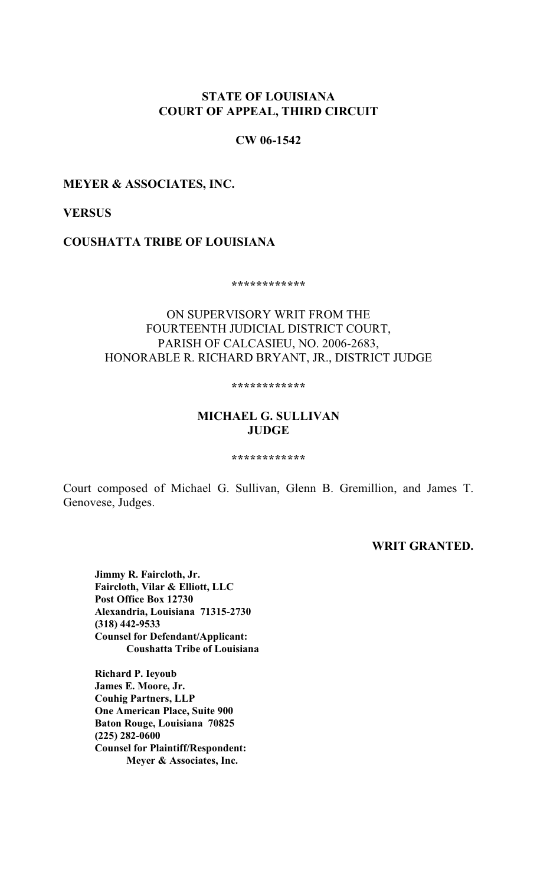# **STATE OF LOUISIANA COURT OF APPEAL, THIRD CIRCUIT**

# **CW 06-1542**

# **MEYER & ASSOCIATES, INC.**

# **VERSUS**

# **COUSHATTA TRIBE OF LOUISIANA**

**\*\*\*\*\*\*\*\*\*\*\*\***

# ON SUPERVISORY WRIT FROM THE FOURTEENTH JUDICIAL DISTRICT COURT, PARISH OF CALCASIEU, NO. 2006-2683, HONORABLE R. RICHARD BRYANT, JR., DISTRICT JUDGE

**\*\*\*\*\*\*\*\*\*\*\*\***

# **MICHAEL G. SULLIVAN JUDGE**

#### **\*\*\*\*\*\*\*\*\*\*\*\***

Court composed of Michael G. Sullivan, Glenn B. Gremillion, and James T. Genovese, Judges.

# **WRIT GRANTED.**

**Jimmy R. Faircloth, Jr. Faircloth, Vilar & Elliott, LLC Post Office Box 12730 Alexandria, Louisiana 71315-2730 (318) 442-9533 Counsel for Defendant/Applicant: Coushatta Tribe of Louisiana**

**Richard P. Ieyoub James E. Moore, Jr. Couhig Partners, LLP One American Place, Suite 900 Baton Rouge, Louisiana 70825 (225) 282-0600 Counsel for Plaintiff/Respondent: Meyer & Associates, Inc.**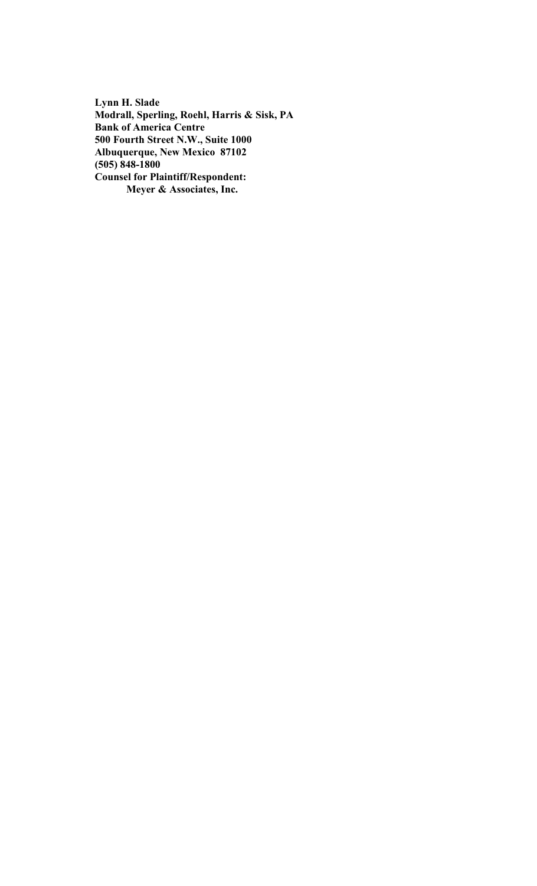**Lynn H. Slade Modrall, Sperling, Roehl, Harris & Sisk, PA Bank of America Centre 500 Fourth Street N.W., Suite 1000 Albuquerque, New Mexico 87102 (505) 848-1800 Counsel for Plaintiff/Respondent: Meyer & Associates, Inc.**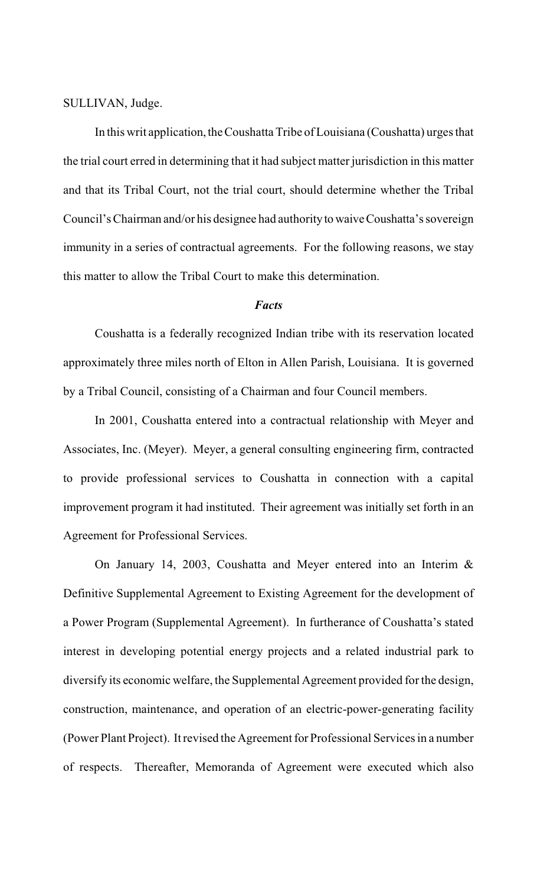SULLIVAN, Judge.

In this writ application, the Coushatta Tribe of Louisiana (Coushatta) urges that the trial court erred in determining that it had subject matter jurisdiction in this matter and that its Tribal Court, not the trial court, should determine whether the Tribal Council's Chairman and/or his designee had authority to waive Coushatta's sovereign immunity in a series of contractual agreements. For the following reasons, we stay this matter to allow the Tribal Court to make this determination.

# *Facts*

Coushatta is a federally recognized Indian tribe with its reservation located approximately three miles north of Elton in Allen Parish, Louisiana. It is governed by a Tribal Council, consisting of a Chairman and four Council members.

In 2001, Coushatta entered into a contractual relationship with Meyer and Associates, Inc. (Meyer). Meyer, a general consulting engineering firm, contracted to provide professional services to Coushatta in connection with a capital improvement program it had instituted. Their agreement was initially set forth in an Agreement for Professional Services.

On January 14, 2003, Coushatta and Meyer entered into an Interim & Definitive Supplemental Agreement to Existing Agreement for the development of a Power Program (Supplemental Agreement). In furtherance of Coushatta's stated interest in developing potential energy projects and a related industrial park to diversify its economic welfare, the Supplemental Agreement provided for the design, construction, maintenance, and operation of an electric-power-generating facility (Power Plant Project). It revised the Agreement for Professional Services in a number of respects. Thereafter, Memoranda of Agreement were executed which also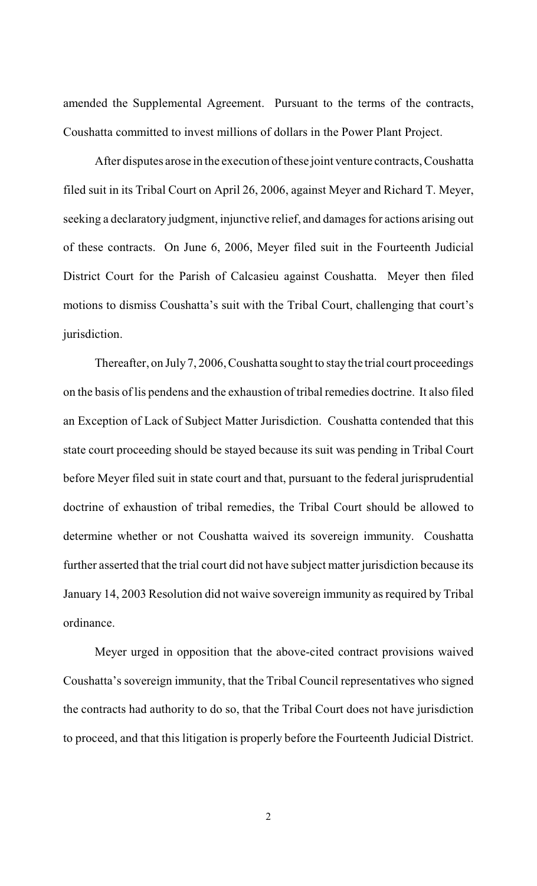amended the Supplemental Agreement. Pursuant to the terms of the contracts, Coushatta committed to invest millions of dollars in the Power Plant Project.

After disputes arose in the execution ofthese joint venture contracts, Coushatta filed suit in its Tribal Court on April 26, 2006, against Meyer and Richard T. Meyer, seeking a declaratory judgment, injunctive relief, and damages for actions arising out of these contracts. On June 6, 2006, Meyer filed suit in the Fourteenth Judicial District Court for the Parish of Calcasieu against Coushatta. Meyer then filed motions to dismiss Coushatta's suit with the Tribal Court, challenging that court's jurisdiction.

Thereafter, on July 7, 2006, Coushatta sought to stay the trial court proceedings on the basis of lis pendens and the exhaustion of tribal remedies doctrine. It also filed an Exception of Lack of Subject Matter Jurisdiction. Coushatta contended that this state court proceeding should be stayed because its suit was pending in Tribal Court before Meyer filed suit in state court and that, pursuant to the federal jurisprudential doctrine of exhaustion of tribal remedies, the Tribal Court should be allowed to determine whether or not Coushatta waived its sovereign immunity. Coushatta further asserted that the trial court did not have subject matter jurisdiction because its January 14, 2003 Resolution did not waive sovereign immunity as required by Tribal ordinance.

Meyer urged in opposition that the above-cited contract provisions waived Coushatta's sovereign immunity, that the Tribal Council representatives who signed the contracts had authority to do so, that the Tribal Court does not have jurisdiction to proceed, and that this litigation is properly before the Fourteenth Judicial District.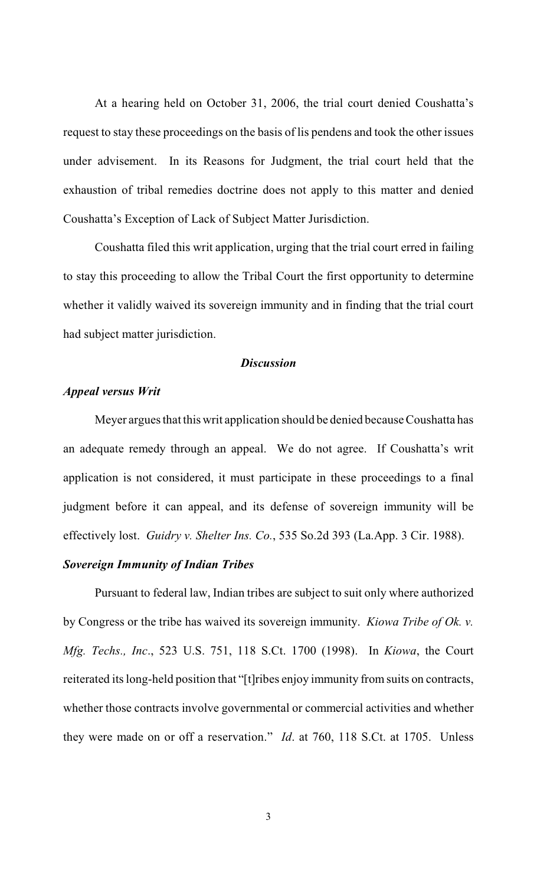At a hearing held on October 31, 2006, the trial court denied Coushatta's request to stay these proceedings on the basis of lis pendens and took the other issues under advisement. In its Reasons for Judgment, the trial court held that the exhaustion of tribal remedies doctrine does not apply to this matter and denied Coushatta's Exception of Lack of Subject Matter Jurisdiction.

Coushatta filed this writ application, urging that the trial court erred in failing to stay this proceeding to allow the Tribal Court the first opportunity to determine whether it validly waived its sovereign immunity and in finding that the trial court had subject matter jurisdiction.

#### *Discussion*

# *Appeal versus Writ*

Meyer argues that this writ application should be denied because Coushatta has an adequate remedy through an appeal. We do not agree. If Coushatta's writ application is not considered, it must participate in these proceedings to a final judgment before it can appeal, and its defense of sovereign immunity will be effectively lost. *Guidry v. Shelter Ins. Co.*, 535 So.2d 393 (La.App. 3 Cir. 1988).

# *Sovereign Immunity of Indian Tribes*

Pursuant to federal law, Indian tribes are subject to suit only where authorized by Congress or the tribe has waived its sovereign immunity. *Kiowa Tribe of Ok. v. Mfg. Techs., Inc*., 523 U.S. 751, 118 S.Ct. 1700 (1998). In *Kiowa*, the Court reiterated its long-held position that "[t]ribes enjoy immunity from suits on contracts, whether those contracts involve governmental or commercial activities and whether they were made on or off a reservation." *Id*. at 760, 118 S.Ct. at 1705. Unless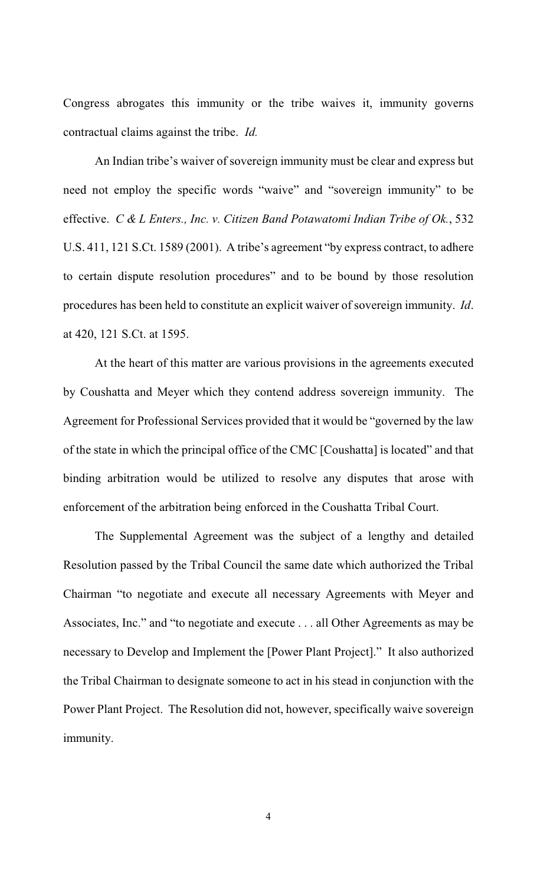Congress abrogates this immunity or the tribe waives it, immunity governs contractual claims against the tribe. *Id.*

An Indian tribe's waiver of sovereign immunity must be clear and express but need not employ the specific words "waive" and "sovereign immunity" to be effective. *C & L Enters., Inc. v. Citizen Band Potawatomi Indian Tribe of Ok.*, 532 U.S. 411, 121 S.Ct. 1589 (2001). A tribe's agreement "by express contract, to adhere to certain dispute resolution procedures" and to be bound by those resolution procedures has been held to constitute an explicit waiver of sovereign immunity. *Id*. at 420, 121 S.Ct. at 1595.

At the heart of this matter are various provisions in the agreements executed by Coushatta and Meyer which they contend address sovereign immunity. The Agreement for Professional Services provided that it would be "governed by the law of the state in which the principal office of the CMC [Coushatta] is located" and that binding arbitration would be utilized to resolve any disputes that arose with enforcement of the arbitration being enforced in the Coushatta Tribal Court.

The Supplemental Agreement was the subject of a lengthy and detailed Resolution passed by the Tribal Council the same date which authorized the Tribal Chairman "to negotiate and execute all necessary Agreements with Meyer and Associates, Inc." and "to negotiate and execute . . . all Other Agreements as may be necessary to Develop and Implement the [Power Plant Project]." It also authorized the Tribal Chairman to designate someone to act in his stead in conjunction with the Power Plant Project. The Resolution did not, however, specifically waive sovereign immunity.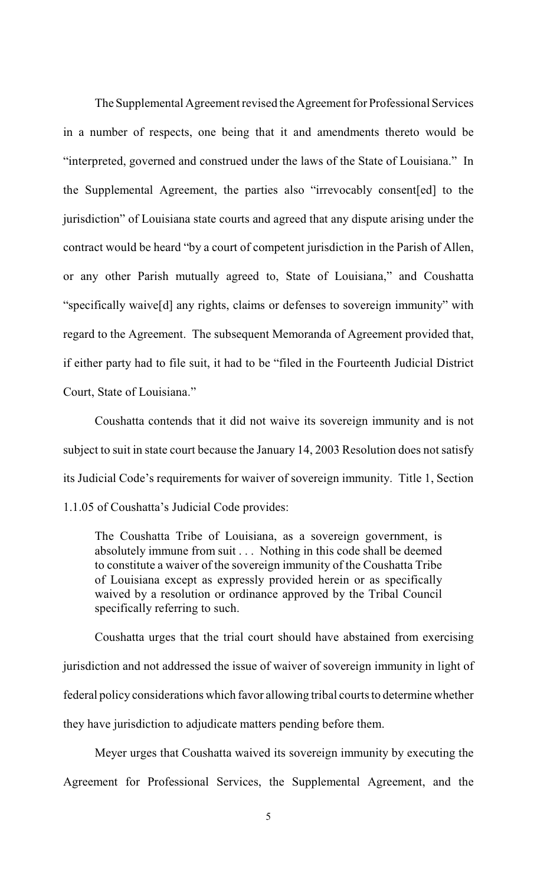The Supplemental Agreement revised the Agreement for Professional Services in a number of respects, one being that it and amendments thereto would be "interpreted, governed and construed under the laws of the State of Louisiana." In the Supplemental Agreement, the parties also "irrevocably consent[ed] to the jurisdiction" of Louisiana state courts and agreed that any dispute arising under the contract would be heard "by a court of competent jurisdiction in the Parish of Allen, or any other Parish mutually agreed to, State of Louisiana," and Coushatta "specifically waive[d] any rights, claims or defenses to sovereign immunity" with regard to the Agreement. The subsequent Memoranda of Agreement provided that, if either party had to file suit, it had to be "filed in the Fourteenth Judicial District Court, State of Louisiana."

Coushatta contends that it did not waive its sovereign immunity and is not subject to suit in state court because the January 14, 2003 Resolution does not satisfy its Judicial Code's requirements for waiver of sovereign immunity. Title 1, Section 1.1.05 of Coushatta's Judicial Code provides:

The Coushatta Tribe of Louisiana, as a sovereign government, is absolutely immune from suit . . . Nothing in this code shall be deemed to constitute a waiver of the sovereign immunity of the Coushatta Tribe of Louisiana except as expressly provided herein or as specifically waived by a resolution or ordinance approved by the Tribal Council specifically referring to such.

Coushatta urges that the trial court should have abstained from exercising jurisdiction and not addressed the issue of waiver of sovereign immunity in light of federal policy considerations which favor allowing tribal courts to determine whether they have jurisdiction to adjudicate matters pending before them.

Meyer urges that Coushatta waived its sovereign immunity by executing the Agreement for Professional Services, the Supplemental Agreement, and the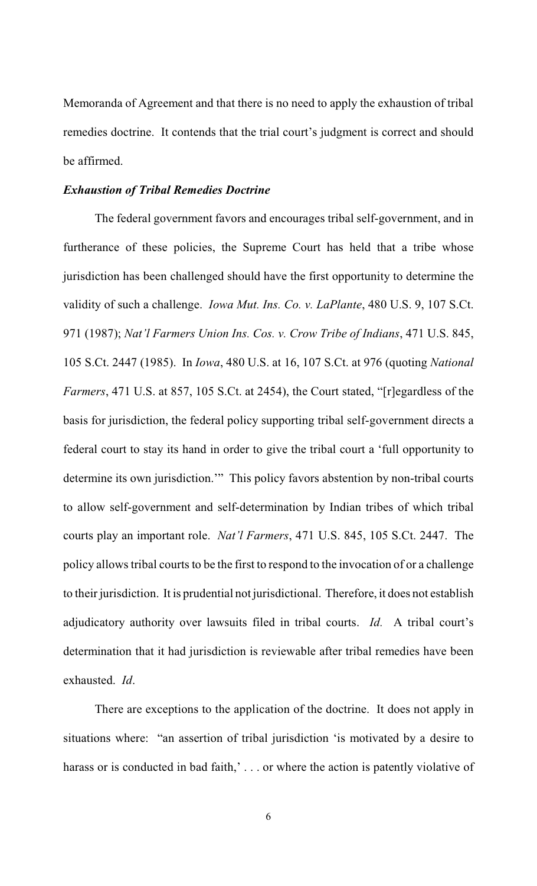Memoranda of Agreement and that there is no need to apply the exhaustion of tribal remedies doctrine. It contends that the trial court's judgment is correct and should be affirmed.

#### *Exhaustion of Tribal Remedies Doctrine*

The federal government favors and encourages tribal self-government, and in furtherance of these policies, the Supreme Court has held that a tribe whose jurisdiction has been challenged should have the first opportunity to determine the validity of such a challenge. *Iowa Mut. Ins. Co. v. LaPlante*, 480 U.S. 9, 107 S.Ct. 971 (1987); *Nat'l Farmers Union Ins. Cos. v. Crow Tribe of Indians*, 471 U.S. 845, 105 S.Ct. 2447 (1985). In *Iowa*, 480 U.S. at 16, 107 S.Ct. at 976 (quoting *National Farmers*, 471 U.S. at 857, 105 S.Ct. at 2454), the Court stated, "[r]egardless of the basis for jurisdiction, the federal policy supporting tribal self-government directs a federal court to stay its hand in order to give the tribal court a 'full opportunity to determine its own jurisdiction.'" This policy favors abstention by non-tribal courts to allow self-government and self-determination by Indian tribes of which tribal courts play an important role. *Nat'l Farmers*, 471 U.S. 845, 105 S.Ct. 2447. The policy allows tribal courts to be the first to respond to the invocation of or a challenge to their jurisdiction. It is prudential not jurisdictional. Therefore, it does not establish adjudicatory authority over lawsuits filed in tribal courts. *Id.* A tribal court's determination that it had jurisdiction is reviewable after tribal remedies have been exhausted. *Id*.

There are exceptions to the application of the doctrine. It does not apply in situations where: "an assertion of tribal jurisdiction 'is motivated by a desire to harass or is conducted in bad faith,'... or where the action is patently violative of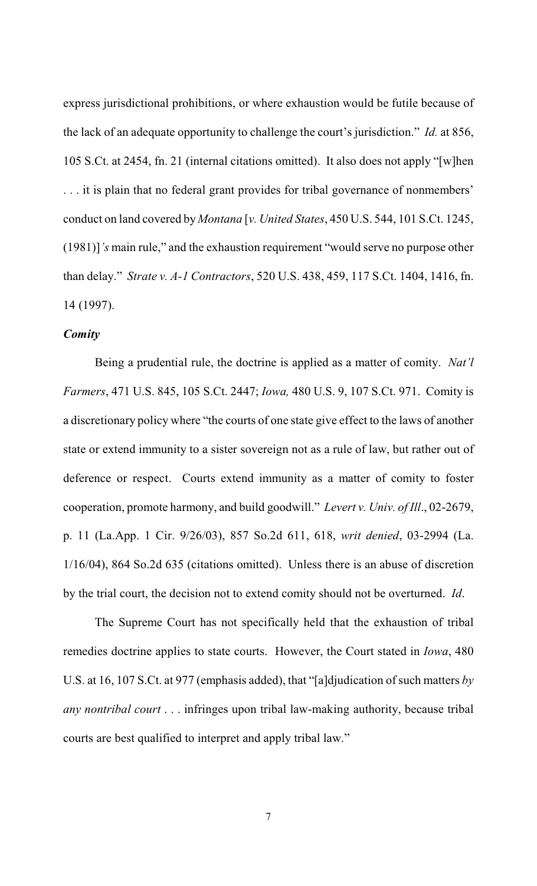express jurisdictional prohibitions, or where exhaustion would be futile because of the lack of an adequate opportunity to challenge the court's jurisdiction." *Id.* at 856, 105 S.Ct. at 2454, fn. 21 (internal citations omitted). It also does not apply "[w]hen . . . it is plain that no federal grant provides for tribal governance of nonmembers' conduct on land covered by *Montana* [*v. United States*, 450 U.S. 544, 101 S.Ct. 1245, (1981)]*'s* main rule," and the exhaustion requirement "would serve no purpose other than delay." *Strate v. A-1 Contractors*, 520 U.S. 438, 459, 117 S.Ct. 1404, 1416, fn. 14 (1997).

#### *Comity*

Being a prudential rule, the doctrine is applied as a matter of comity. *Nat'l Farmers*, 471 U.S. 845, 105 S.Ct. 2447; *Iowa,* 480 U.S. 9, 107 S.Ct. 971. Comity is a discretionary policy where "the courts of one state give effect to the laws of another state or extend immunity to a sister sovereign not as a rule of law, but rather out of deference or respect. Courts extend immunity as a matter of comity to foster cooperation, promote harmony, and build goodwill." *Levert v. Univ. of Ill*., 02-2679, p. 11 (La.App. 1 Cir. 9/26/03), 857 So.2d 611, 618, *writ denied*, 03-2994 (La. 1/16/04), 864 So.2d 635 (citations omitted). Unless there is an abuse of discretion by the trial court, the decision not to extend comity should not be overturned. *Id*.

The Supreme Court has not specifically held that the exhaustion of tribal remedies doctrine applies to state courts. However, the Court stated in *Iowa*, 480 U.S. at 16, 107 S.Ct. at 977 (emphasis added), that "[a]djudication of such matters *by any nontribal court* . . . infringes upon tribal law-making authority, because tribal courts are best qualified to interpret and apply tribal law."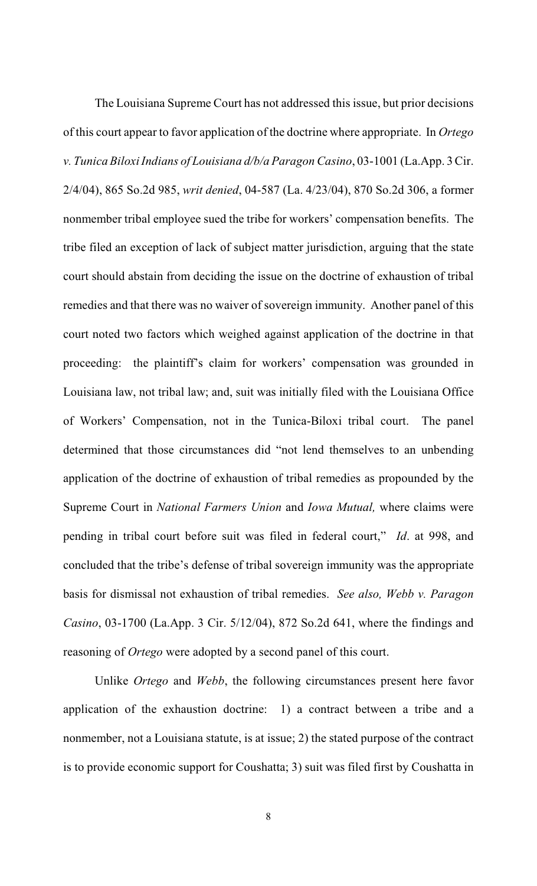The Louisiana Supreme Court has not addressed this issue, but prior decisions of this court appear to favor application of the doctrine where appropriate. In *Ortego v. Tunica BiloxiIndians of Louisiana d/b/a Paragon Casino*, 03-1001 (La.App. 3 Cir. 2/4/04), 865 So.2d 985, *writ denied*, 04-587 (La. 4/23/04), 870 So.2d 306, a former nonmember tribal employee sued the tribe for workers' compensation benefits. The tribe filed an exception of lack of subject matter jurisdiction, arguing that the state court should abstain from deciding the issue on the doctrine of exhaustion of tribal remedies and that there was no waiver of sovereign immunity. Another panel of this court noted two factors which weighed against application of the doctrine in that proceeding: the plaintiff's claim for workers' compensation was grounded in Louisiana law, not tribal law; and, suit was initially filed with the Louisiana Office of Workers' Compensation, not in the Tunica-Biloxi tribal court. The panel determined that those circumstances did "not lend themselves to an unbending application of the doctrine of exhaustion of tribal remedies as propounded by the Supreme Court in *National Farmers Union* and *Iowa Mutual,* where claims were pending in tribal court before suit was filed in federal court," *Id*. at 998, and concluded that the tribe's defense of tribal sovereign immunity was the appropriate basis for dismissal not exhaustion of tribal remedies. *See also, Webb v. Paragon Casino*, 03-1700 (La.App. 3 Cir. 5/12/04), 872 So.2d 641, where the findings and reasoning of *Ortego* were adopted by a second panel of this court.

Unlike *Ortego* and *Webb*, the following circumstances present here favor application of the exhaustion doctrine: 1) a contract between a tribe and a nonmember, not a Louisiana statute, is at issue; 2) the stated purpose of the contract is to provide economic support for Coushatta; 3) suit was filed first by Coushatta in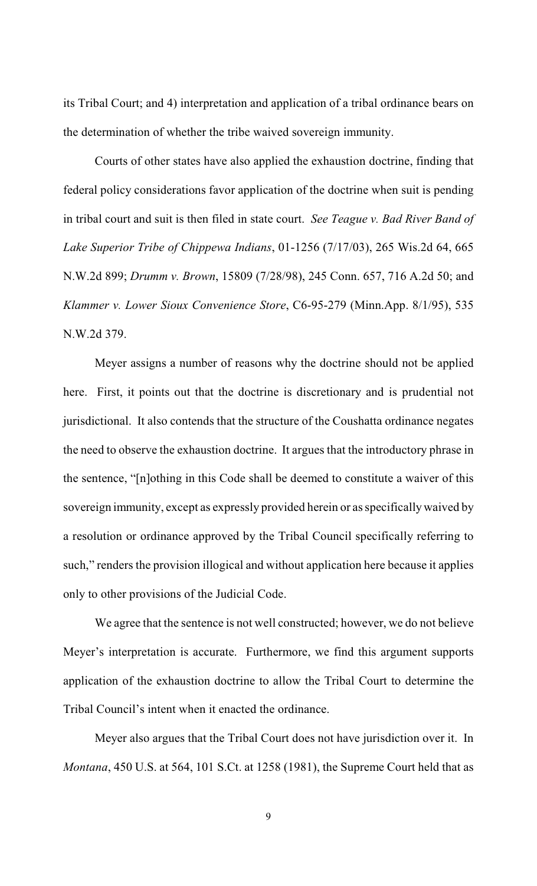its Tribal Court; and 4) interpretation and application of a tribal ordinance bears on the determination of whether the tribe waived sovereign immunity.

Courts of other states have also applied the exhaustion doctrine, finding that federal policy considerations favor application of the doctrine when suit is pending in tribal court and suit is then filed in state court. *See Teague v. Bad River Band of Lake Superior Tribe of Chippewa Indians*, 01-1256 (7/17/03), 265 Wis.2d 64, 665 N.W.2d 899; *Drumm v. Brown*, 15809 (7/28/98), 245 Conn. 657, 716 A.2d 50; and *Klammer v. Lower Sioux Convenience Store*, C6-95-279 (Minn.App. 8/1/95), 535 N.W.2d 379.

Meyer assigns a number of reasons why the doctrine should not be applied here. First, it points out that the doctrine is discretionary and is prudential not jurisdictional. It also contends that the structure of the Coushatta ordinance negates the need to observe the exhaustion doctrine. It argues that the introductory phrase in the sentence, "[n]othing in this Code shall be deemed to constitute a waiver of this sovereign immunity, except as expressly provided herein or as specifically waived by a resolution or ordinance approved by the Tribal Council specifically referring to such," renders the provision illogical and without application here because it applies only to other provisions of the Judicial Code.

We agree that the sentence is not well constructed; however, we do not believe Meyer's interpretation is accurate. Furthermore, we find this argument supports application of the exhaustion doctrine to allow the Tribal Court to determine the Tribal Council's intent when it enacted the ordinance.

Meyer also argues that the Tribal Court does not have jurisdiction over it. In *Montana*, 450 U.S. at 564, 101 S.Ct. at 1258 (1981), the Supreme Court held that as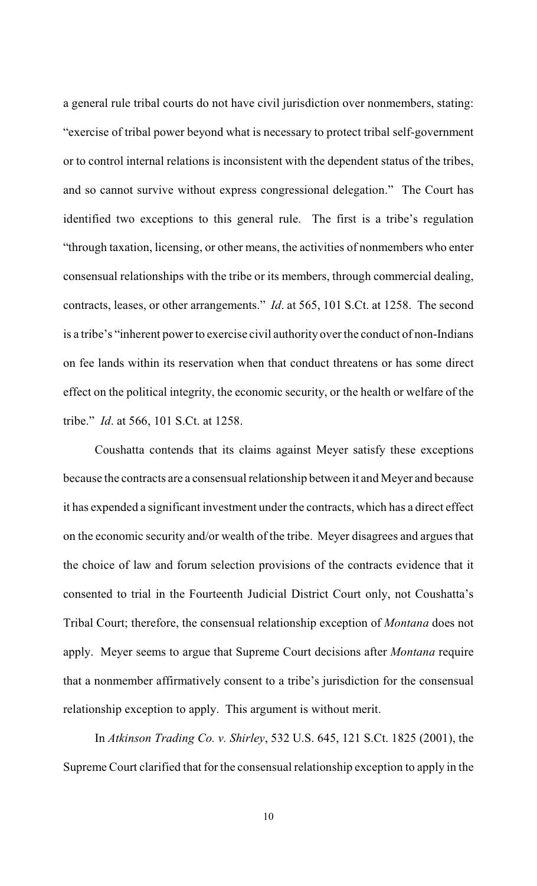a general rule tribal courts do not have civil jurisdiction over nonmembers, stating: "exercise of tribal power beyond what is necessary to protect tribal self-government or to control internal relations is inconsistent with the dependent status of the tribes, and so cannot survive without express congressional delegation." The Court has identified two exceptions to this general rule. The first is a tribe's regulation "through taxation, licensing, or other means, the activities of nonmembers who enter consensual relationships with the tribe or its members, through commercial dealing, contracts, leases, or other arrangements." *Id*. at 565, 101 S.Ct. at 1258. The second is a tribe's "inherent power to exercise civil authority over the conduct of non-Indians on fee lands within its reservation when that conduct threatens or has some direct effect on the political integrity, the economic security, or the health or welfare of the tribe." *Id*. at 566, 101 S.Ct. at 1258.

Coushatta contends that its claims against Meyer satisfy these exceptions because the contracts are a consensual relationship between it and Meyer and because it has expended a significant investment under the contracts, which has a direct effect on the economic security and/or wealth of the tribe. Meyer disagrees and argues that the choice of law and forum selection provisions of the contracts evidence that it consented to trial in the Fourteenth Judicial District Court only, not Coushatta's Tribal Court; therefore, the consensual relationship exception of *Montana* does not apply. Meyer seems to argue that Supreme Court decisions after *Montana* require that a nonmember affirmatively consent to a tribe's jurisdiction for the consensual relationship exception to apply. This argument is without merit.

In *Atkinson Trading Co. v. Shirley*, 532 U.S. 645, 121 S.Ct. 1825 (2001), the Supreme Court clarified that for the consensual relationship exception to apply in the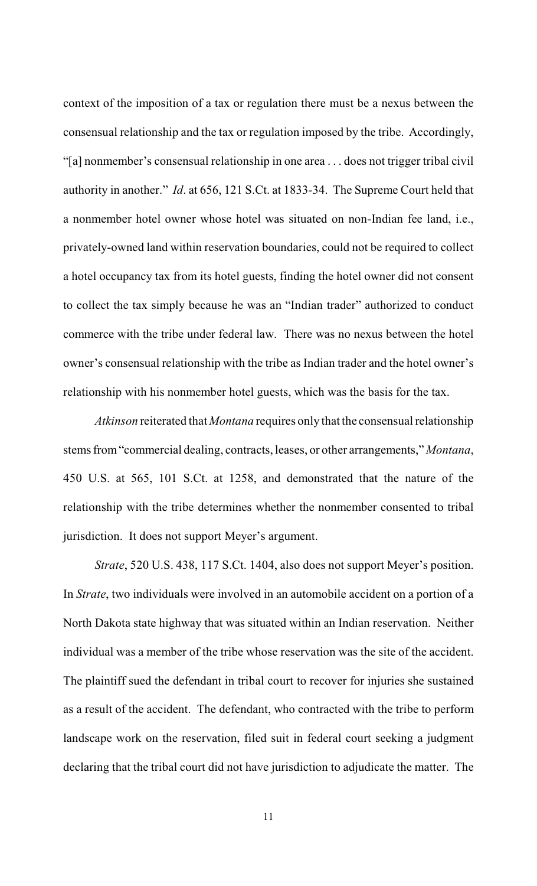context of the imposition of a tax or regulation there must be a nexus between the consensual relationship and the tax or regulation imposed by the tribe. Accordingly, "[a] nonmember's consensual relationship in one area . . . does not trigger tribal civil authority in another." *Id*. at 656, 121 S.Ct. at 1833-34. The Supreme Court held that a nonmember hotel owner whose hotel was situated on non-Indian fee land, i.e., privately-owned land within reservation boundaries, could not be required to collect a hotel occupancy tax from its hotel guests, finding the hotel owner did not consent to collect the tax simply because he was an "Indian trader" authorized to conduct commerce with the tribe under federal law. There was no nexus between the hotel owner's consensual relationship with the tribe as Indian trader and the hotel owner's relationship with his nonmember hotel guests, which was the basis for the tax.

*Atkinson* reiterated that *Montana* requires only that the consensual relationship stems from "commercial dealing, contracts, leases, or other arrangements," *Montana*, 450 U.S. at 565, 101 S.Ct. at 1258, and demonstrated that the nature of the relationship with the tribe determines whether the nonmember consented to tribal jurisdiction. It does not support Meyer's argument.

*Strate*, 520 U.S. 438, 117 S.Ct. 1404, also does not support Meyer's position. In *Strate*, two individuals were involved in an automobile accident on a portion of a North Dakota state highway that was situated within an Indian reservation. Neither individual was a member of the tribe whose reservation was the site of the accident. The plaintiff sued the defendant in tribal court to recover for injuries she sustained as a result of the accident. The defendant, who contracted with the tribe to perform landscape work on the reservation, filed suit in federal court seeking a judgment declaring that the tribal court did not have jurisdiction to adjudicate the matter. The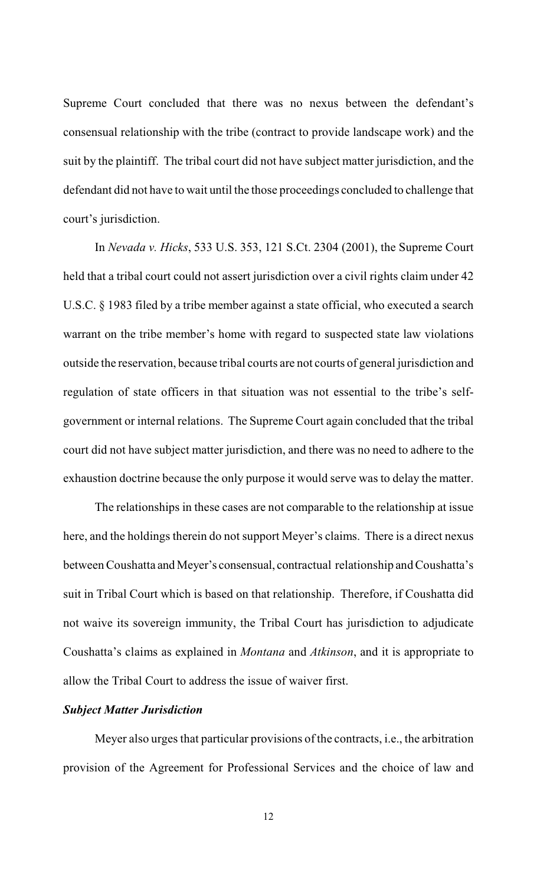Supreme Court concluded that there was no nexus between the defendant's consensual relationship with the tribe (contract to provide landscape work) and the suit by the plaintiff. The tribal court did not have subject matter jurisdiction, and the defendant did not have to wait until the those proceedings concluded to challenge that court's jurisdiction.

In *Nevada v. Hicks*, 533 U.S. 353, 121 S.Ct. 2304 (2001), the Supreme Court held that a tribal court could not assert jurisdiction over a civil rights claim under 42 U.S.C. § 1983 filed by a tribe member against a state official, who executed a search warrant on the tribe member's home with regard to suspected state law violations outside the reservation, because tribal courts are not courts of general jurisdiction and regulation of state officers in that situation was not essential to the tribe's selfgovernment or internal relations. The Supreme Court again concluded that the tribal court did not have subject matter jurisdiction, and there was no need to adhere to the exhaustion doctrine because the only purpose it would serve was to delay the matter.

The relationships in these cases are not comparable to the relationship at issue here, and the holdings therein do not support Meyer's claims. There is a direct nexus between Coushatta and Meyer's consensual, contractual relationship and Coushatta's suit in Tribal Court which is based on that relationship. Therefore, if Coushatta did not waive its sovereign immunity, the Tribal Court has jurisdiction to adjudicate Coushatta's claims as explained in *Montana* and *Atkinson*, and it is appropriate to allow the Tribal Court to address the issue of waiver first.

# *Subject Matter Jurisdiction*

Meyer also urges that particular provisions of the contracts, i.e., the arbitration provision of the Agreement for Professional Services and the choice of law and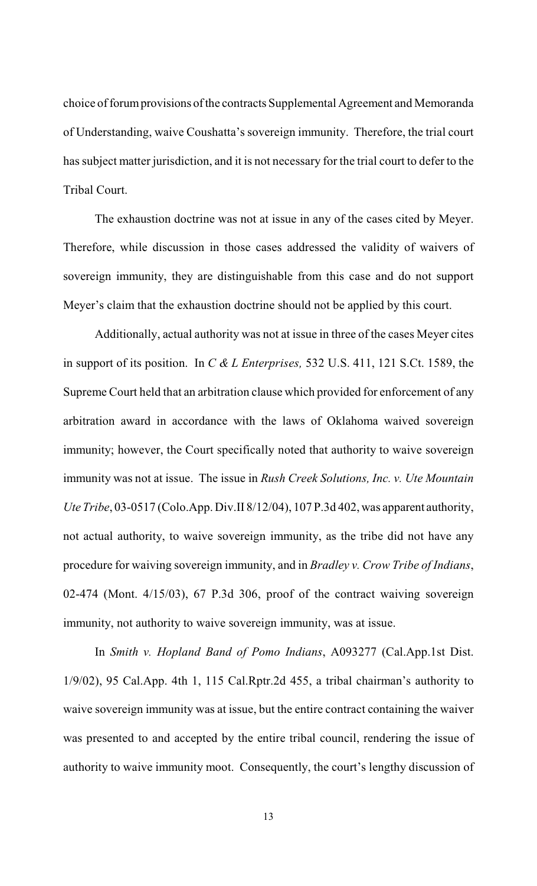choice of forum provisions of the contracts Supplemental Agreement and Memoranda of Understanding, waive Coushatta's sovereign immunity. Therefore, the trial court has subject matter jurisdiction, and it is not necessary for the trial court to defer to the Tribal Court.

The exhaustion doctrine was not at issue in any of the cases cited by Meyer. Therefore, while discussion in those cases addressed the validity of waivers of sovereign immunity, they are distinguishable from this case and do not support Meyer's claim that the exhaustion doctrine should not be applied by this court.

Additionally, actual authority was not at issue in three of the cases Meyer cites in support of its position. In *C & L Enterprises,* 532 U.S. 411, 121 S.Ct. 1589, the Supreme Court held that an arbitration clause which provided for enforcement of any arbitration award in accordance with the laws of Oklahoma waived sovereign immunity; however, the Court specifically noted that authority to waive sovereign immunity was not at issue. The issue in *Rush Creek Solutions, Inc. v. Ute Mountain Ute Tribe*, 03-0517 (Colo.App. Div.II 8/12/04), 107 P.3d 402, was apparent authority, not actual authority, to waive sovereign immunity, as the tribe did not have any procedure for waiving sovereign immunity, and in *Bradley v. Crow Tribe of Indians*, 02-474 (Mont. 4/15/03), 67 P.3d 306, proof of the contract waiving sovereign immunity, not authority to waive sovereign immunity, was at issue.

In *Smith v. Hopland Band of Pomo Indians*, A093277 (Cal.App.1st Dist. 1/9/02), 95 Cal.App. 4th 1, 115 Cal.Rptr.2d 455, a tribal chairman's authority to waive sovereign immunity was at issue, but the entire contract containing the waiver was presented to and accepted by the entire tribal council, rendering the issue of authority to waive immunity moot. Consequently, the court's lengthy discussion of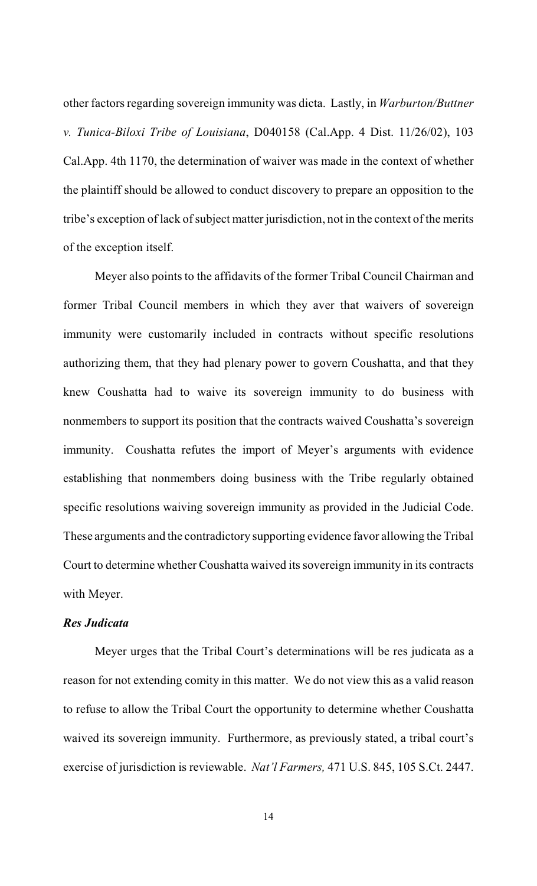other factors regarding sovereign immunity was dicta. Lastly, in *Warburton/Buttner v. Tunica-Biloxi Tribe of Louisiana*, D040158 (Cal.App. 4 Dist. 11/26/02), 103 Cal.App. 4th 1170, the determination of waiver was made in the context of whether the plaintiff should be allowed to conduct discovery to prepare an opposition to the tribe's exception of lack of subject matter jurisdiction, not in the context of the merits of the exception itself.

Meyer also points to the affidavits of the former Tribal Council Chairman and former Tribal Council members in which they aver that waivers of sovereign immunity were customarily included in contracts without specific resolutions authorizing them, that they had plenary power to govern Coushatta, and that they knew Coushatta had to waive its sovereign immunity to do business with nonmembers to support its position that the contracts waived Coushatta's sovereign immunity. Coushatta refutes the import of Meyer's arguments with evidence establishing that nonmembers doing business with the Tribe regularly obtained specific resolutions waiving sovereign immunity as provided in the Judicial Code. These arguments and the contradictory supporting evidence favor allowing the Tribal Court to determine whether Coushatta waived its sovereign immunity in its contracts with Meyer.

## *Res Judicata*

Meyer urges that the Tribal Court's determinations will be res judicata as a reason for not extending comity in this matter. We do not view this as a valid reason to refuse to allow the Tribal Court the opportunity to determine whether Coushatta waived its sovereign immunity. Furthermore, as previously stated, a tribal court's exercise of jurisdiction is reviewable. *Nat'l Farmers,* 471 U.S. 845, 105 S.Ct. 2447.